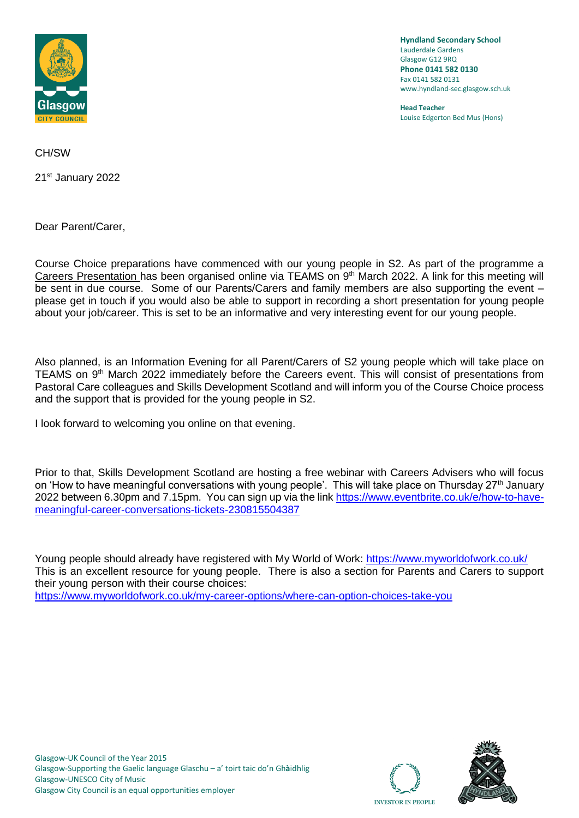

**Hyndland Secondary School** Lauderdale Gardens Glasgow G12 9RQ **Phone 0141 582 0130** Fax 0141 582 0131 www.hyndland-sec.glasgow.sch.uk

**Head Teacher** Louise Edgerton Bed Mus (Hons)

CH/SW

21st January 2022

Dear Parent/Carer,

Course Choice preparations have commenced with our young people in S2. As part of the programme a Careers Presentation has been organised online via TEAMS on 9<sup>th</sup> March 2022. A link for this meeting will be sent in due course. Some of our Parents/Carers and family members are also supporting the event – please get in touch if you would also be able to support in recording a short presentation for young people about your job/career. This is set to be an informative and very interesting event for our young people.

Also planned, is an Information Evening for all Parent/Carers of S2 young people which will take place on TEAMS on 9th March 2022 immediately before the Careers event. This will consist of presentations from Pastoral Care colleagues and Skills Development Scotland and will inform you of the Course Choice process and the support that is provided for the young people in S2.

I look forward to welcoming you online on that evening.

Prior to that, Skills Development Scotland are hosting a free webinar with Careers Advisers who will focus on 'How to have meaningful conversations with young people'. This will take place on Thursday 27<sup>th</sup> January 2022 between 6.30pm and 7.15pm. You can sign up via the link [https://www.eventbrite.co.uk/e/how-to-have](https://www.eventbrite.co.uk/e/how-to-have-meaningful-career-conversations-tickets-230815504387)[meaningful-career-conversations-tickets-230815504387](https://www.eventbrite.co.uk/e/how-to-have-meaningful-career-conversations-tickets-230815504387)

Young people should already have registered with My World of Work:<https://www.myworldofwork.co.uk/> This is an excellent resource for young people. There is also a section for Parents and Carers to support their young person with their course choices: <https://www.myworldofwork.co.uk/my-career-options/where-can-option-choices-take-you>